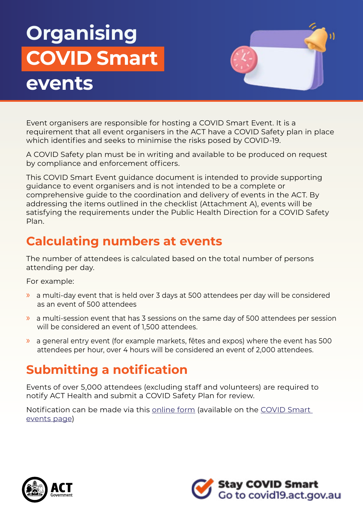# **Organising COVID Smart events**



Event organisers are responsible for hosting a COVID Smart Event. It is a requirement that all event organisers in the ACT have a COVID Safety plan in place which identifies and seeks to minimise the risks posed by COVID-19.

A COVID Safety plan must be in writing and available to be produced on request by compliance and enforcement officers.

This COVID Smart Event guidance document is intended to provide supporting guidance to event organisers and is not intended to be a complete or comprehensive guide to the coordination and delivery of events in the ACT. By addressing the items outlined in the checklist (Attachment A), events will be satisfying the requirements under the Public Health Direction for a COVID Safety Plan.

## **Calculating numbers at events**

The number of attendees is calculated based on the total number of persons attending per day.

For example:

- » a multi-day event that is held over 3 days at 500 attendees per day will be considered as an event of 500 attendees
- » a multi-session event that has 3 sessions on the same day of 500 attendees per session will be considered an event of 1,500 attendees.
- » a general entry event (for example markets, fêtes and expos) where the event has 500 attendees per hour, over 4 hours will be considered an event of 2,000 attendees.

## **Submitting a notification**

Events of over 5,000 attendees (excluding staff and volunteers) are required to notify ACT Health and submit a COVID Safety Plan for review.

Notification can be made via this online form (available on the COVID Smart events page)



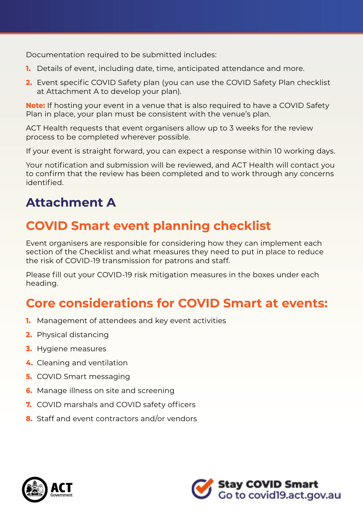Documentation required to be submitted includes:

- **1.** Details of event, including date, time, anticipated attendance and more.
- **2.** Event specific COVID Safety plan (you can use the COVID Safety Plan checklist at Attachment A to develop your plan).

**Note:** If hosting your event in a venue that is also required to have a COVID Safety Plan in place, your plan must be consistent with the venue's plan.

ACT Health requests that event organisers allow up to 3 weeks for the review process to be completed wherever possible.

If your event is straight forward, you can expect a response within 10 working days.

Your notification and submission will be reviewed, and ACT Health will contact you to confirm that the review has been completed and to work through any concerns identified.

## **Attachment A**

## **COVID Smart event planning checklist**

Event organisers are responsible for considering how they can implement each section of the Checklist and what measures they need to put in place to reduce the risk of COVID-19 transmission for patrons and staff.

Please fill out your COVID-19 risk mitigation measures in the boxes under each heading.

### **Core considerations for COVID Smart at events:**

- **1.** Management of attendees and key event activities
- **2.** Physical distancing
- **3.** Hygiene measures
- **4.** Cleaning and ventilation
- **5.** COVID Smart messaging
- **6.** Manage illness on site and screening
- **7.** COVID marshals and COVID safety officers
- **8.** Staff and event contractors and/or vendors



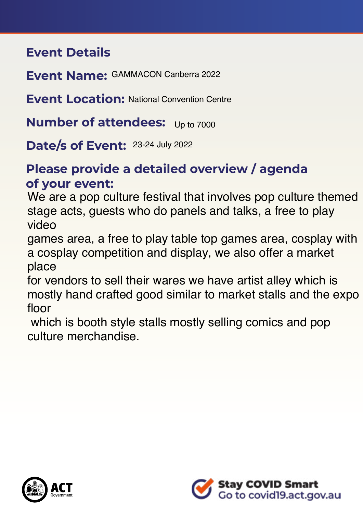### **Event Details**

**Event Name:**  GAMMACON Canberra 2022

**Event Location: National Convention Centre** 

**Number of attendees:** Up to 7000

**Date/s of Event:** 23-24 July 2022

## **Please provide a detailed overview / agenda of your event:**

We are a pop culture festival that involves pop culture themed stage acts, guests who do panels and talks, a free to play video

games area, a free to play table top games area, cosplay with a cosplay competition and display, we also offer a market place

for vendors to sell their wares we have artist alley which is mostly hand crafted good similar to market stalls and the expo floor

 which is booth style stalls mostly selling comics and pop culture merchandise.



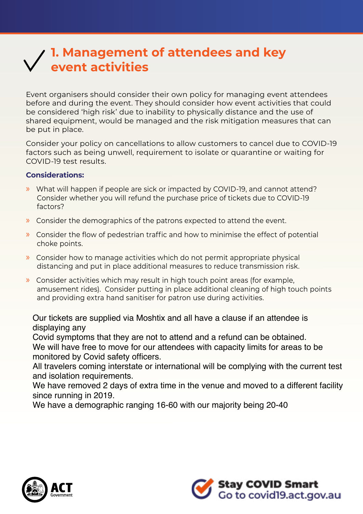## **1. Management of attendees and key event activities**

Event organisers should consider their own policy for managing event attendees before and during the event. They should consider how event activities that could be considered 'high risk' due to inability to physically distance and the use of shared equipment, would be managed and the risk mitigation measures that can be put in place.

Consider your policy on cancellations to allow customers to cancel due to COVID-19 factors such as being unwell, requirement to isolate or quarantine or waiting for COVID-19 test results.

#### **Considerations:**

- » What will happen if people are sick or impacted by COVID-19, and cannot attend? Consider whether you will refund the purchase price of tickets due to COVID-19 factors?
- » Consider the demographics of the patrons expected to attend the event.
- » Consider the flow of pedestrian traffic and how to minimise the effect of potential choke points.
- » Consider how to manage activities which do not permit appropriate physical distancing and put in place additional measures to reduce transmission risk.
- » Consider activities which may result in high touch point areas (for example, amusement rides). Consider putting in place additional cleaning of high touch points and providing extra hand sanitiser for patron use during activities.

Our tickets are supplied via Moshtix and all have a clause if an attendee is displaying any

Covid symptoms that they are not to attend and a refund can be obtained. We will have free to move for our attendees with capacity limits for areas to be monitored by Covid safety officers.

All travelers coming interstate or international will be complying with the current test and isolation requirements.

We have removed 2 days of extra time in the venue and moved to a different facility since running in 2019.

We have a demographic ranging 16-60 with our majority being 20-40



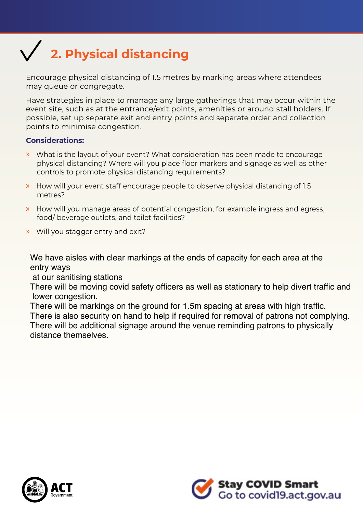## **2. Physical distancing**

Encourage physical distancing of 1.5 metres by marking areas where attendees may queue or congregate.

Have strategies in place to manage any large gatherings that may occur within the event site, such as at the entrance/exit points, amenities or around stall holders. If possible, set up separate exit and entry points and separate order and collection points to minimise congestion.

#### **Considerations:**

- » What is the layout of your event? What consideration has been made to encourage physical distancing? Where will you place foor markers and signage as well as other controls to promote physical distancing requirements?
- » How will your event staff encourage people to observe physical distancing of 1.5 metres?
- » How will you manage areas of potential congestion, for example ingress and egress, food/ beverage outlets, and toilet facilities?
- » Will you stagger entry and exit?

We have aisles with clear markings at the ends of capacity for each area at the entry ways

at our sanitising stations

There will be moving covid safety officers as well as stationary to help divert traffic and lower congestion.

There will be markings on the ground for 1.5m spacing at areas with high traffic. There is also security on hand to help if required for removal of patrons not complying. There will be additional signage around the venue reminding patrons to physically distance themselves.



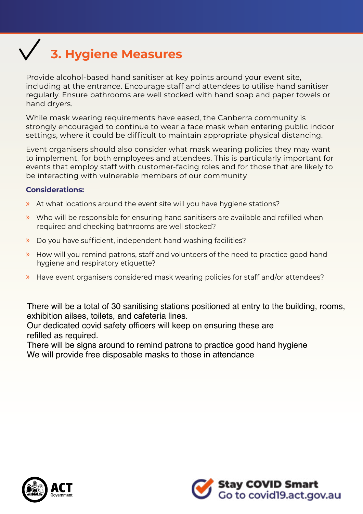# **3. Hygiene Measures**

Provide alcohol-based hand sanitiser at key points around your event site, including at the entrance. Encourage staff and attendees to utilise hand sanitiser regularly. Ensure bathrooms are well stocked with hand soap and paper towels or hand dryers.

While mask wearing requirements have eased, the Canberra community is strongly encouraged to continue to wear a face mask when entering public indoor settings, where it could be difficult to maintain appropriate physical distancing.

Event organisers should also consider what mask wearing policies they may want to implement, for both employees and attendees. This is particularly important for events that employ staff with customer-facing roles and for those that are likely to be interacting with vulnerable members of our community

#### **Considerations:**

- » At what locations around the event site will you have hygiene stations?
- $\triangleright$  Who will be responsible for ensuring hand sanitisers are available and refilled when required and checking bathrooms are well stocked?
- » Do you have sufficient, independent hand washing facilities?
- » How will you remind patrons, staff and volunteers of the need to practice good hand hygiene and respiratory etiquette?
- » Have event organisers considered mask wearing policies for staff and/or attendees?

There will be a total of 30 sanitising stations positioned at entry to the building, rooms, exhibition ailses, toilets, and cafeteria lines.

Our dedicated covid safety officers will keep on ensuring these are refilled as required.

There will be signs around to remind patrons to practice good hand hygiene We will provide free disposable masks to those in attendance



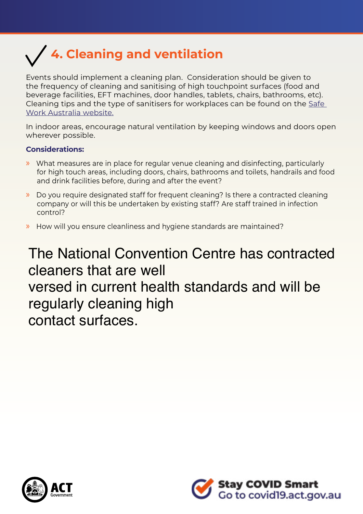

Events should implement a cleaning plan. Consideration should be given to the frequency of cleaning and sanitising of high touchpoint surfaces (food and beverage facilities, EFT machines, door handles, tablets, chairs, bathrooms, etc). Cleaning tips and the type of sanitisers for workplaces can be found on the Safe Work Australia website.

In indoor areas, encourage natural ventilation by keeping windows and doors open wherever possible.

#### **Considerations:**

- » What measures are in place for regular venue cleaning and disinfecting, particularly for high touch areas, including doors, chairs, bathrooms and toilets, handrails and food and drink facilities before, during and after the event?
- » Do you require designated staff for frequent cleaning? Is there a contracted cleaning company or will this be undertaken by existing staff? Are staff trained in infection control?
- » How will you ensure cleanliness and hygiene standards are maintained?

The National Convention Centre has contracted cleaners that are well versed in current health standards and will be regularly cleaning high contact surfaces.



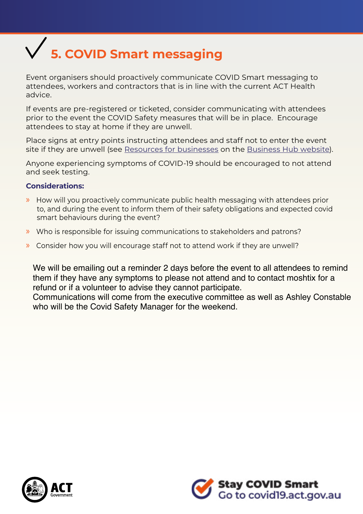# **5. COVID Smart messaging**

Event organisers should proactively communicate COVID Smart messaging to attendees, workers and contractors that is in line with the current ACT Health advice.

If events are pre-registered or ticketed, consider communicating with attendees prior to the event the COVID Safety measures that will be in place. Encourage attendees to stay at home if they are unwell.

Place signs at entry points instructing attendees and staff not to enter the event site if they are unwell (see Resources for businesses on the Business Hub website).

Anyone experiencing symptoms of COVID-19 should be encouraged to not attend and seek testing.

#### **Considerations:**

- » How will you proactively communicate public health messaging with attendees prior to, and during the event to inform them of their safety obligations and expected covid smart behaviours during the event?
- » Who is responsible for issuing communications to stakeholders and patrons?
- » Consider how you will encourage staff not to attend work if they are unwell?

We will be emailing out a reminder 2 days before the event to all attendees to remind them if they have any symptoms to please not attend and to contact moshtix for a refund or if a volunteer to advise they cannot participate.

Communications will come from the executive committee as well as Ashley Constable who will be the Covid Safety Manager for the weekend.



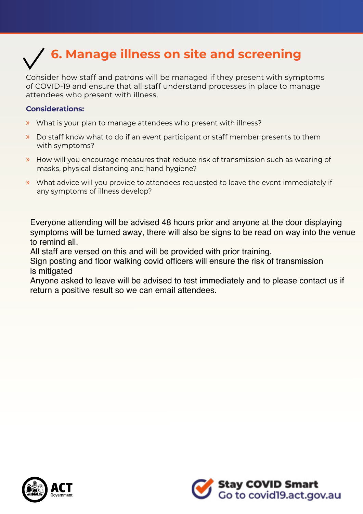# **6. Manage illness on site and screening**

Consider how staff and patrons will be managed if they present with symptoms of COVID-19 and ensure that all staff understand processes in place to manage attendees who present with illness.

#### **Considerations:**

- » What is your plan to manage attendees who present with illness?
- » Do staff know what to do if an event participant or staff member presents to them with symptoms?
- » How will you encourage measures that reduce risk of transmission such as wearing of masks, physical distancing and hand hygiene?
- » What advice will you provide to attendees requested to leave the event immediately if any symptoms of illness develop?

Everyone attending will be advised 48 hours prior and anyone at the door displaying symptoms will be turned away, there will also be signs to be read on way into the venue to remind all.

All staff are versed on this and will be provided with prior training.

Sign posting and floor walking covid officers will ensure the risk of transmission is mitigated

Anyone asked to leave will be advised to test immediately and to please contact us if return a positive result so we can email attendees.



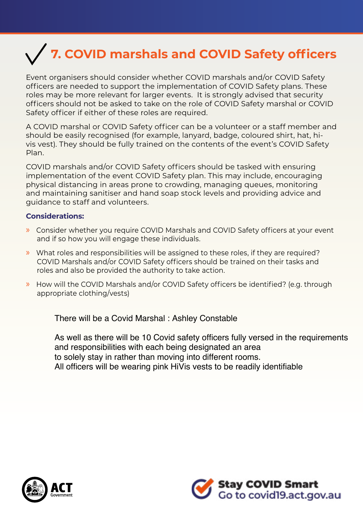## **7. COVID marshals and COVID Safety officers**

Event organisers should consider whether COVID marshals and/or COVID Safety officers are needed to support the implementation of COVID Safety plans. These roles may be more relevant for larger events. It is strongly advised that security officers should not be asked to take on the role of COVID Safety marshal or COVID Safety officer if either of these roles are required.

A COVID marshal or COVID Safety officer can be a volunteer or a staff member and should be easily recognised (for example, lanyard, badge, coloured shirt, hat, hivis vest). They should be fully trained on the contents of the event's COVID Safety Plan.

COVID marshals and/or COVID Safety officers should be tasked with ensuring implementation of the event COVID Safety plan. This may include, encouraging physical distancing in areas prone to crowding, managing queues, monitoring and maintaining sanitiser and hand soap stock levels and providing advice and guidance to staff and volunteers.

#### **Considerations:**

- » Consider whether you require COVID Marshals and COVID Safety officers at your event and if so how you will engage these individuals.
- » What roles and responsibilities will be assigned to these roles, if they are required? COVID Marshals and/or COVID Safety officers should be trained on their tasks and roles and also be provided the authority to take action.
- » How will the COVID Marshals and/or COVID Safety officers be identified? (e.g. through appropriate clothing/vests)

There will be a Covid Marshal : Ashley Constable

As well as there will be 10 Covid safety officers fully versed in the requirements and responsibilities with each being designated an area to solely stay in rather than moving into different rooms. All officers will be wearing pink HiVis vests to be readily identifiable



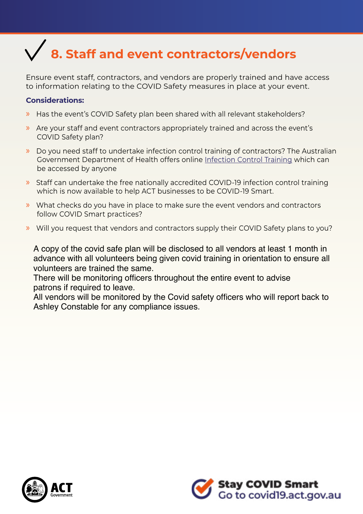## **8. Staff and event contractors/vendors**

Ensure event staff, contractors, and vendors are properly trained and have access to information relating to the COVID Safety measures in place at your event.

#### **Considerations:**

- » Has the event's COVID Safety plan been shared with all relevant stakeholders?
- » Are your staff and event contractors appropriately trained and across the event's COVID Safety plan?
- » Do you need staff to undertake infection control training of contractors? The Australian Government Department of Health offers online Infection Control Training which can be accessed by anyone
- » Staff can undertake the free nationally accredited COVID-19 infection control training which is now available to help ACT businesses to be COVID-19 Smart.
- » What checks do you have in place to make sure the event vendors and contractors follow COVID Smart practices?
- » Will you request that vendors and contractors supply their COVID Safety plans to you?

A copy of the covid safe plan will be disclosed to all vendors at least 1 month in advance with all volunteers being given covid training in orientation to ensure all volunteers are trained the same.

There will be monitoring officers throughout the entire event to advise patrons if required to leave.

All vendors will be monitored by the Covid safety officers who will report back to Ashley Constable for any compliance issues.



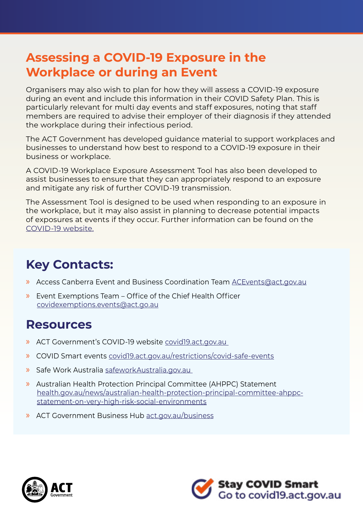## **Assessing a COVID-19 Exposure in the Workplace or during an Event**

Organisers may also wish to plan for how they will assess a COVID-19 exposure during an event and include this information in their COVID Safety Plan. This is particularly relevant for multi day events and staff exposures, noting that staff members are required to advise their employer of their diagnosis if they attended the workplace during their infectious period.

The ACT Government has developed guidance material to support workplaces and businesses to understand how best to respond to a COVID-19 exposure in their business or workplace.

A COVID-19 Workplace Exposure Assessment Tool has also been developed to assist businesses to ensure that they can appropriately respond to an exposure and mitigate any risk of further COVID-19 transmission.

The Assessment Tool is designed to be used when responding to an exposure in the workplace, but it may also assist in planning to decrease potential impacts of exposures at events if they occur. Further information can be found on the COVID-19 website.

## **Key Contacts:**

- » Access Canberra Event and Business Coordination Team ACEvents@act.gov.au
- $\triangleright$  Event Exemptions Team Office of the Chief Health Officer covidexemptions.events@act.go.au

### **Resources**

- » ACT Government's COVID-19 website covid19.act.gov.au
- » COVID Smart events covid19.act.gov.au/restrictions/covid-safe-events
- » Safe Work Australia safeworkAustralia.gov.au
- » Australian Health Protection Principal Committee (AHPPC) Statement health.gov.au/news/australian-health-protection-principal-committee-ahppcstatement-on-very-high-risk-social-environments
- » ACT Government Business Hub act.gov.au/business